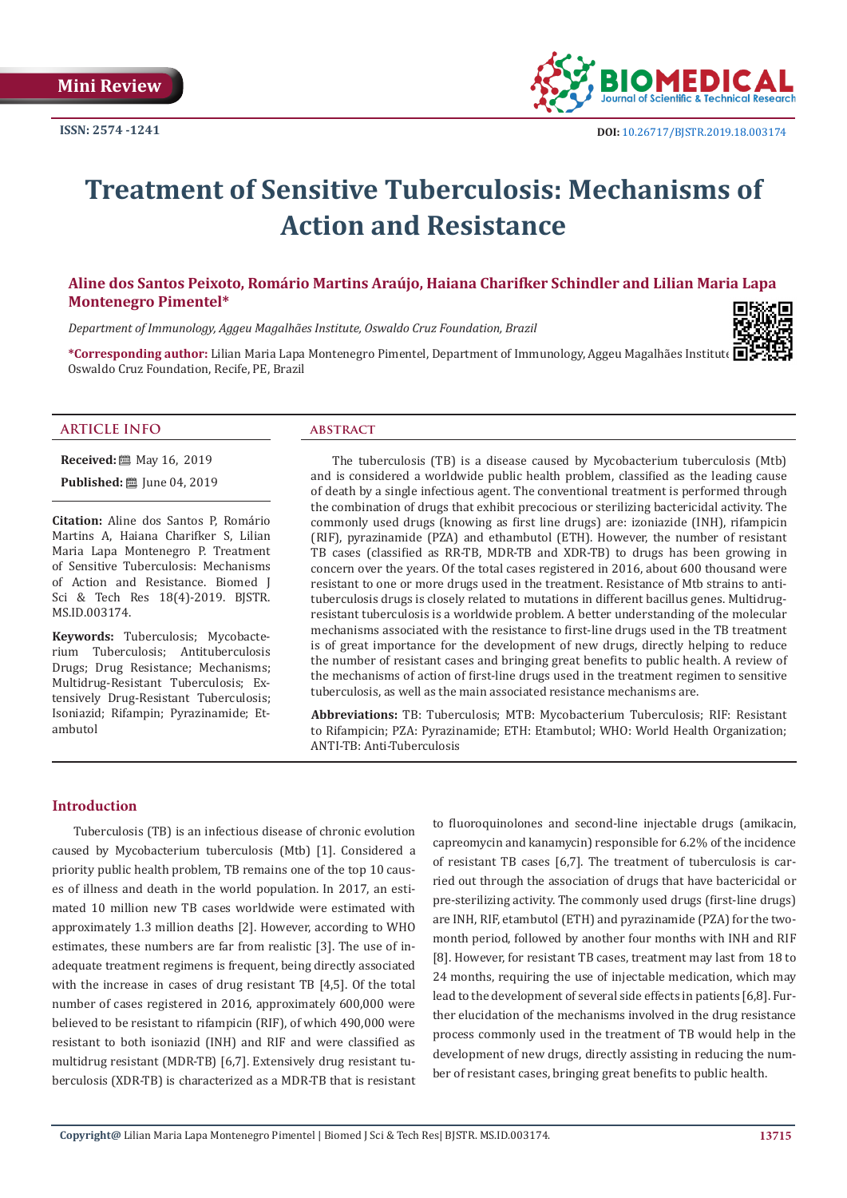

# **Treatment of Sensitive Tuberculosis: Mechanisms of Action and Resistance**

# **Aline dos Santos Peixoto, Romário Martins Araújo, Haiana Charifker Schindler and Lilian Maria Lapa Montenegro Pimentel\***

*Department of Immunology, Aggeu Magalhães Institute, Oswaldo Cruz Foundation, Brazil*



**\*Corresponding author:** Lilian Maria Lapa Montenegro Pimentel, Department of Immunology, Aggeu Magalhães Institute, Oswaldo Cruz Foundation, Recife, PE, Brazil

### **ARTICLE INFO abstract**

**Received:** 圖 May 16, 2019

**Published:** ■ June 04, 2019

**Citation:** Aline dos Santos P, Romário Martins A, Haiana Charifker S, Lilian Maria Lapa Montenegro P. Treatment of Sensitive Tuberculosis: Mechanisms of Action and Resistance. Biomed J Sci & Tech Res 18(4)-2019. BJSTR. MS.ID.003174.

**Keywords:** Tuberculosis; Mycobacterium Tuberculosis; Antituberculosis Drugs; Drug Resistance; Mechanisms; Multidrug-Resistant Tuberculosis; Extensively Drug-Resistant Tuberculosis; Isoniazid; Rifampin; Pyrazinamide; Etambutol

The tuberculosis (TB) is a disease caused by Mycobacterium tuberculosis (Mtb) and is considered a worldwide public health problem, classified as the leading cause of death by a single infectious agent. The conventional treatment is performed through the combination of drugs that exhibit precocious or sterilizing bactericidal activity. The commonly used drugs (knowing as first line drugs) are: izoniazide (INH), rifampicin (RIF), pyrazinamide (PZA) and ethambutol (ETH). However, the number of resistant TB cases (classified as RR-TB, MDR-TB and XDR-TB) to drugs has been growing in concern over the years. Of the total cases registered in 2016, about 600 thousand were resistant to one or more drugs used in the treatment. Resistance of Mtb strains to antituberculosis drugs is closely related to mutations in different bacillus genes. Multidrugresistant tuberculosis is a worldwide problem. A better understanding of the molecular mechanisms associated with the resistance to first-line drugs used in the TB treatment is of great importance for the development of new drugs, directly helping to reduce the number of resistant cases and bringing great benefits to public health. A review of the mechanisms of action of first-line drugs used in the treatment regimen to sensitive tuberculosis, as well as the main associated resistance mechanisms are.

**Abbreviations:** TB: Tuberculosis; MTB: Mycobacterium Tuberculosis; RIF: Resistant to Rifampicin; PZA: Pyrazinamide; ETH: Etambutol; WHO: World Health Organization; ANTI-TB: Anti-Tuberculosis

# **Introduction**

Tuberculosis (TB) is an infectious disease of chronic evolution caused by Mycobacterium tuberculosis (Mtb) [1]. Considered a priority public health problem, TB remains one of the top 10 causes of illness and death in the world population. In 2017, an estimated 10 million new TB cases worldwide were estimated with approximately 1.3 million deaths [2]. However, according to WHO estimates, these numbers are far from realistic [3]. The use of inadequate treatment regimens is frequent, being directly associated with the increase in cases of drug resistant TB [4,5]. Of the total number of cases registered in 2016, approximately 600,000 were believed to be resistant to rifampicin (RIF), of which 490,000 were resistant to both isoniazid (INH) and RIF and were classified as multidrug resistant (MDR-TB) [6,7]. Extensively drug resistant tuberculosis (XDR-TB) is characterized as a MDR-TB that is resistant to fluoroquinolones and second-line injectable drugs (amikacin, capreomycin and kanamycin) responsible for 6.2% of the incidence of resistant TB cases [6,7]. The treatment of tuberculosis is carried out through the association of drugs that have bactericidal or pre-sterilizing activity. The commonly used drugs (first-line drugs) are INH, RIF, etambutol (ETH) and pyrazinamide (PZA) for the twomonth period, followed by another four months with INH and RIF [8]. However, for resistant TB cases, treatment may last from 18 to 24 months, requiring the use of injectable medication, which may lead to the development of several side effects in patients [6,8]. Further elucidation of the mechanisms involved in the drug resistance process commonly used in the treatment of TB would help in the development of new drugs, directly assisting in reducing the number of resistant cases, bringing great benefits to public health.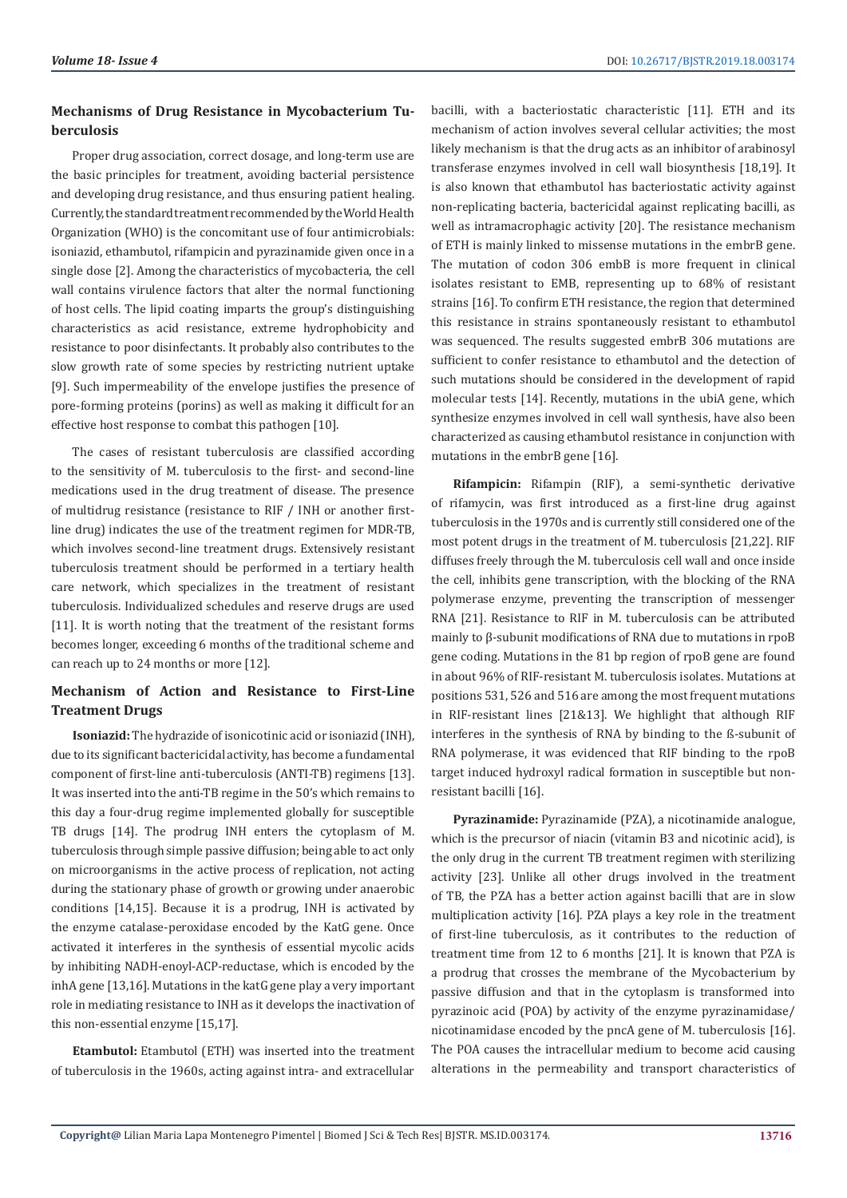# **Mechanisms of Drug Resistance in Mycobacterium Tuberculosis**

Proper drug association, correct dosage, and long-term use are the basic principles for treatment, avoiding bacterial persistence and developing drug resistance, and thus ensuring patient healing. Currently, the standard treatment recommended by the World Health Organization (WHO) is the concomitant use of four antimicrobials: isoniazid, ethambutol, rifampicin and pyrazinamide given once in a single dose [2]. Among the characteristics of mycobacteria, the cell wall contains virulence factors that alter the normal functioning of host cells. The lipid coating imparts the group's distinguishing characteristics as acid resistance, extreme hydrophobicity and resistance to poor disinfectants. It probably also contributes to the slow growth rate of some species by restricting nutrient uptake [9]. Such impermeability of the envelope justifies the presence of pore-forming proteins (porins) as well as making it difficult for an effective host response to combat this pathogen [10].

The cases of resistant tuberculosis are classified according to the sensitivity of M. tuberculosis to the first- and second-line medications used in the drug treatment of disease. The presence of multidrug resistance (resistance to RIF / INH or another firstline drug) indicates the use of the treatment regimen for MDR-TB, which involves second-line treatment drugs. Extensively resistant tuberculosis treatment should be performed in a tertiary health care network, which specializes in the treatment of resistant tuberculosis. Individualized schedules and reserve drugs are used [11]. It is worth noting that the treatment of the resistant forms becomes longer, exceeding 6 months of the traditional scheme and can reach up to 24 months or more [12].

# **Mechanism of Action and Resistance to First-Line Treatment Drugs**

**Isoniazid:** The hydrazide of isonicotinic acid or isoniazid (INH), due to its significant bactericidal activity, has become a fundamental component of first-line anti-tuberculosis (ANTI-TB) regimens [13]. It was inserted into the anti-TB regime in the 50's which remains to this day a four-drug regime implemented globally for susceptible TB drugs [14]. The prodrug INH enters the cytoplasm of M. tuberculosis through simple passive diffusion; being able to act only on microorganisms in the active process of replication, not acting during the stationary phase of growth or growing under anaerobic conditions [14,15]. Because it is a prodrug, INH is activated by the enzyme catalase-peroxidase encoded by the KatG gene. Once activated it interferes in the synthesis of essential mycolic acids by inhibiting NADH-enoyl-ACP-reductase, which is encoded by the inhA gene [13,16]. Mutations in the katG gene play a very important role in mediating resistance to INH as it develops the inactivation of this non-essential enzyme [15,17].

**Etambutol:** Etambutol (ETH) was inserted into the treatment of tuberculosis in the 1960s, acting against intra- and extracellular

bacilli, with a bacteriostatic characteristic [11]. ETH and its mechanism of action involves several cellular activities; the most likely mechanism is that the drug acts as an inhibitor of arabinosyl transferase enzymes involved in cell wall biosynthesis [18,19]. It is also known that ethambutol has bacteriostatic activity against non-replicating bacteria, bactericidal against replicating bacilli, as well as intramacrophagic activity [20]. The resistance mechanism of ETH is mainly linked to missense mutations in the embrB gene. The mutation of codon 306 embB is more frequent in clinical isolates resistant to EMB, representing up to 68% of resistant strains [16]. To confirm ETH resistance, the region that determined this resistance in strains spontaneously resistant to ethambutol was sequenced. The results suggested embrB 306 mutations are sufficient to confer resistance to ethambutol and the detection of such mutations should be considered in the development of rapid molecular tests [14]. Recently, mutations in the ubiA gene, which synthesize enzymes involved in cell wall synthesis, have also been characterized as causing ethambutol resistance in conjunction with mutations in the embrB gene [16].

**Rifampicin:** Rifampin (RIF), a semi-synthetic derivative of rifamycin, was first introduced as a first-line drug against tuberculosis in the 1970s and is currently still considered one of the most potent drugs in the treatment of M. tuberculosis [21,22]. RIF diffuses freely through the M. tuberculosis cell wall and once inside the cell, inhibits gene transcription, with the blocking of the RNA polymerase enzyme, preventing the transcription of messenger RNA [21]. Resistance to RIF in M. tuberculosis can be attributed mainly to β-subunit modifications of RNA due to mutations in rpoB gene coding. Mutations in the 81 bp region of rpoB gene are found in about 96% of RIF-resistant M. tuberculosis isolates. Mutations at positions 531, 526 and 516 are among the most frequent mutations in RIF-resistant lines [21&13]. We highlight that although RIF interferes in the synthesis of RNA by binding to the ß-subunit of RNA polymerase, it was evidenced that RIF binding to the rpoB target induced hydroxyl radical formation in susceptible but nonresistant bacilli [16].

**Pyrazinamide:** Pyrazinamide (PZA), a nicotinamide analogue, which is the precursor of niacin (vitamin B3 and nicotinic acid), is the only drug in the current TB treatment regimen with sterilizing activity [23]. Unlike all other drugs involved in the treatment of TB, the PZA has a better action against bacilli that are in slow multiplication activity [16]. PZA plays a key role in the treatment of first-line tuberculosis, as it contributes to the reduction of treatment time from 12 to 6 months [21]. It is known that PZA is a prodrug that crosses the membrane of the Mycobacterium by passive diffusion and that in the cytoplasm is transformed into pyrazinoic acid (POA) by activity of the enzyme pyrazinamidase/ nicotinamidase encoded by the pncA gene of M. tuberculosis [16]. The POA causes the intracellular medium to become acid causing alterations in the permeability and transport characteristics of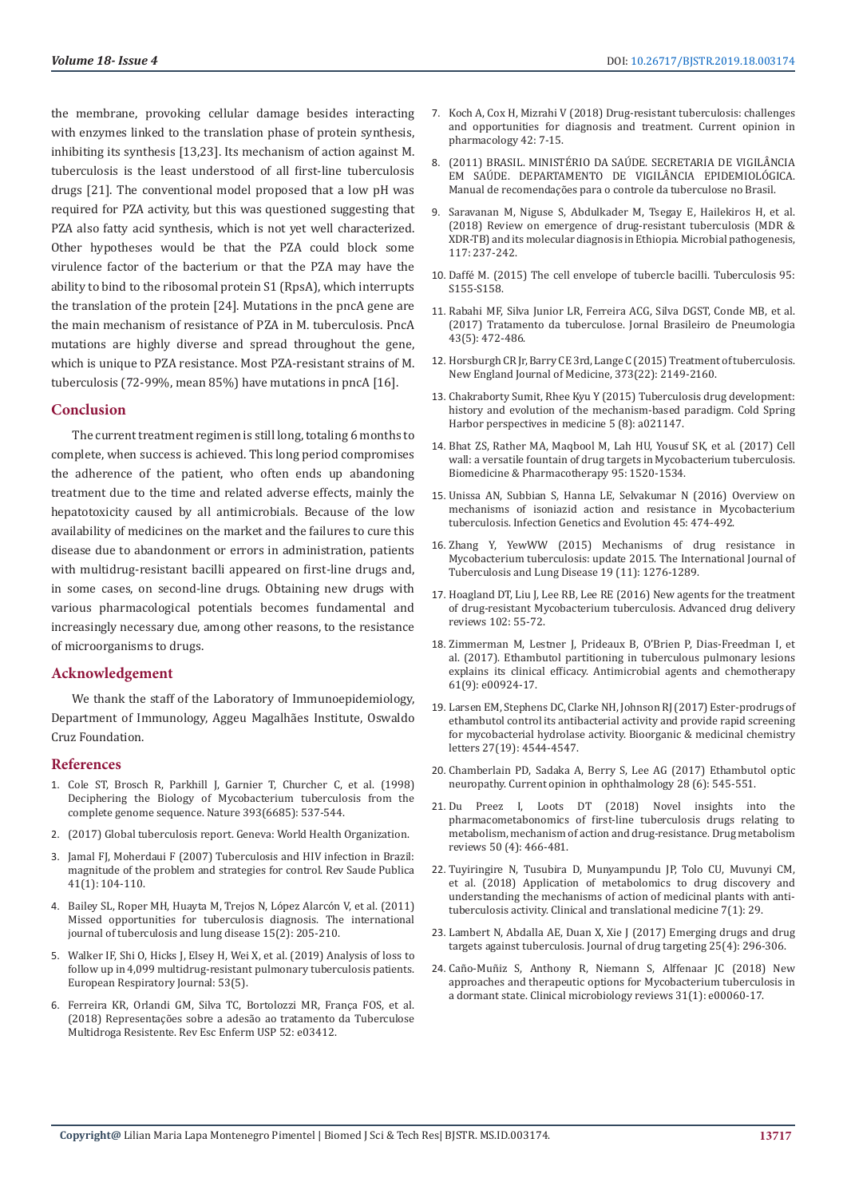the membrane, provoking cellular damage besides interacting with enzymes linked to the translation phase of protein synthesis. inhibiting its synthesis [13,23]. Its mechanism of action against M. tuberculosis is the least understood of all first-line tuberculosis drugs [21]. The conventional model proposed that a low pH was required for PZA activity, but this was questioned suggesting that PZA also fatty acid synthesis, which is not yet well characterized. Other hypotheses would be that the PZA could block some virulence factor of the bacterium or that the PZA may have the ability to bind to the ribosomal protein S1 (RpsA), which interrupts the translation of the protein [24]. Mutations in the pncA gene are the main mechanism of resistance of PZA in M. tuberculosis. PncA mutations are highly diverse and spread throughout the gene, which is unique to PZA resistance. Most PZA-resistant strains of M. tuberculosis (72-99%, mean 85%) have mutations in pncA [16].

#### **Conclusion**

The current treatment regimen is still long, totaling 6 months to complete, when success is achieved. This long period compromises the adherence of the patient, who often ends up abandoning treatment due to the time and related adverse effects, mainly the hepatotoxicity caused by all antimicrobials. Because of the low availability of medicines on the market and the failures to cure this disease due to abandonment or errors in administration, patients with multidrug-resistant bacilli appeared on first-line drugs and, in some cases, on second-line drugs. Obtaining new drugs with various pharmacological potentials becomes fundamental and increasingly necessary due, among other reasons, to the resistance of microorganisms to drugs.

#### **Acknowledgement**

We thank the staff of the Laboratory of Immunoepidemiology, Department of Immunology, Aggeu Magalhães Institute, Oswaldo Cruz Foundation.

#### **References**

- 1. [Cole ST, Brosch R, Parkhill J, Garnier T, Churcher C, et al. \(1998\)](https://www.ncbi.nlm.nih.gov/pubmed/9634230)  [Deciphering the Biology of Mycobacterium tuberculosis from the](https://www.ncbi.nlm.nih.gov/pubmed/9634230)  [complete genome sequence. Nature 393\(6685\): 537-544.](https://www.ncbi.nlm.nih.gov/pubmed/9634230)
- 2. [\(2017\) Global tuberculosis report. Geneva: World Health Organization.](https://apps.who.int/iris/bitstream/handle/10665/274453/9789241565646-eng.pdf)
- 3. [Jamal FJ, Moherdaui F \(2007\) Tuberculosis and HIV infection in Brazil:](http://www.scielo.br/scielo.php?script=sci_arttext&pid=S0034-89102007000800014&lng=pt&tlng=pt)  [magnitude of the problem and strategies for control. Rev Saude Publica](http://www.scielo.br/scielo.php?script=sci_arttext&pid=S0034-89102007000800014&lng=pt&tlng=pt)  [41\(1\): 104-110.](http://www.scielo.br/scielo.php?script=sci_arttext&pid=S0034-89102007000800014&lng=pt&tlng=pt)
- 4. [Bailey SL, Roper MH, Huayta M, Trejos N, López Alarcón V, et al. \(2011\)](https://www.ncbi.nlm.nih.gov/pubmed/21219682)  [Missed opportunities for tuberculosis diagnosis. The international](https://www.ncbi.nlm.nih.gov/pubmed/21219682)  [journal of tuberculosis and lung disease 15\(2\): 205-210.](https://www.ncbi.nlm.nih.gov/pubmed/21219682)
- 5. [Walker IF, Shi O, Hicks J, Elsey H, Wei X, et al. \(2019\) Analysis of loss to](https://erj.ersjournals.com/content/early/2019/04/05/13993003.00353-2018)  [follow up in 4,099 multidrug-resistant pulmonary tuberculosis patients.](https://erj.ersjournals.com/content/early/2019/04/05/13993003.00353-2018)  [European Respiratory Journal: 53\(5\).](https://erj.ersjournals.com/content/early/2019/04/05/13993003.00353-2018)
- 6. [Ferreira KR, Orlandi GM, Silva TC, Bortolozzi MR, França FOS, et al.](http://www.scielo.br/scielo.php?script=sci_arttext&pid=S0080-62342018000100490&lng=en&tlng=en)  [\(2018\) Representações sobre a adesão ao tratamento da Tuberculose](http://www.scielo.br/scielo.php?script=sci_arttext&pid=S0080-62342018000100490&lng=en&tlng=en)  [Multidroga Resistente. Rev Esc Enferm USP 52: e03412.](http://www.scielo.br/scielo.php?script=sci_arttext&pid=S0080-62342018000100490&lng=en&tlng=en)
- 7. [Koch A, Cox H, Mizrahi V \(2018\) Drug-resistant tuberculosis: challenges](https://www.ncbi.nlm.nih.gov/pubmed/29885623) [and opportunities for diagnosis and treatment. Current opinion in](https://www.ncbi.nlm.nih.gov/pubmed/29885623) [pharmacology 42: 7-15.](https://www.ncbi.nlm.nih.gov/pubmed/29885623)
- 8. [\(2011\) BRASIL. MINISTÉRIO DA SAÚDE. SECRETARIA DE VIGILÂNCIA](http://bvsms.saude.gov.br/bvs/.../manual_recomendacoes_controle_tuberculose_brasil.pdf) [EM SAÚDE. DEPARTAMENTO DE VIGILÂNCIA EPIDEMIOLÓGICA.](http://bvsms.saude.gov.br/bvs/.../manual_recomendacoes_controle_tuberculose_brasil.pdf) [Manual de recomendações para o controle da tuberculose no Brasil.](http://bvsms.saude.gov.br/bvs/.../manual_recomendacoes_controle_tuberculose_brasil.pdf)
- 9. [Saravanan M, Niguse S, Abdulkader M, Tsegay E, Hailekiros H, et al.](https://www.ncbi.nlm.nih.gov/pubmed/29486274) [\(2018\) Review on emergence of drug-resistant tuberculosis \(MDR &](https://www.ncbi.nlm.nih.gov/pubmed/29486274) [XDR-TB\) and its molecular diagnosis in Ethiopia. Microbial pathogenesis,](https://www.ncbi.nlm.nih.gov/pubmed/29486274) [117: 237-242.](https://www.ncbi.nlm.nih.gov/pubmed/29486274)
- 10. [Daffé M. \(2015\) The cell envelope of tubercle bacilli. Tuberculosis 95:](https://www.ncbi.nlm.nih.gov/pubmed/25819158) [S155-S158.](https://www.ncbi.nlm.nih.gov/pubmed/25819158)
- 11. [Rabahi MF, Silva Junior LR, Ferreira ACG, Silva DGST, Conde MB, et al.](http://www.scielo.br/scielo.php?pid=S1806-37132017000600472&script=sci_abstract&tlng=en) [\(2017\) Tratamento da tuberculose. Jornal Brasileiro de Pneumologia](http://www.scielo.br/scielo.php?pid=S1806-37132017000600472&script=sci_abstract&tlng=en) [43\(5\): 472-486.](http://www.scielo.br/scielo.php?pid=S1806-37132017000600472&script=sci_abstract&tlng=en)
- 12. [Horsburgh CR Jr, Barry CE 3rd, Lange C \(2015\) Treatment of tuberculosis.](https://www.nejm.org/doi/full/10.1056/NEJMra1413919) [New England Journal of Medicine, 373\(22\): 2149-2160.](https://www.nejm.org/doi/full/10.1056/NEJMra1413919)
- 13. [Chakraborty Sumit, Rhee Kyu Y \(2015\) Tuberculosis drug development:](https://www.ncbi.nlm.nih.gov/pubmed/25877396) [history and evolution of the mechanism-based paradigm. Cold Spring](https://www.ncbi.nlm.nih.gov/pubmed/25877396) [Harbor perspectives in medicine 5 \(8\): a021147.](https://www.ncbi.nlm.nih.gov/pubmed/25877396)
- 14. [Bhat ZS, Rather MA, Maqbool M, Lah HU, Yousuf SK, et al. \(2017\) Cell](https://www.ncbi.nlm.nih.gov/pubmed/28946393) [wall: a versatile fountain of drug targets in Mycobacterium tuberculosis.](https://www.ncbi.nlm.nih.gov/pubmed/28946393) [Biomedicine & Pharmacotherapy 95: 1520-1534.](https://www.ncbi.nlm.nih.gov/pubmed/28946393)
- 15. [Unissa AN, Subbian S, Hanna LE, Selvakumar N \(2016\) Overview on](https://www.ncbi.nlm.nih.gov/pubmed/27612406) [mechanisms of isoniazid action and resistance in Mycobacterium](https://www.ncbi.nlm.nih.gov/pubmed/27612406) [tuberculosis. Infection Genetics and Evolution 45: 474-492.](https://www.ncbi.nlm.nih.gov/pubmed/27612406)
- 16. [Zhang Y, YewWW \(2015\) Mechanisms of drug resistance in](https://www.ncbi.nlm.nih.gov/pubmed/26467578) [Mycobacterium tuberculosis: update 2015. The International Journal of](https://www.ncbi.nlm.nih.gov/pubmed/26467578) [Tuberculosis and Lung Disease 19 \(11\): 1276-1289.](https://www.ncbi.nlm.nih.gov/pubmed/26467578)
- 17. [Hoagland DT, Liu J, Lee RB, Lee RE \(2016\) New agents for the treatment](https://www.ncbi.nlm.nih.gov/pubmed/27151308) [of drug-resistant Mycobacterium tuberculosis. Advanced drug delivery](https://www.ncbi.nlm.nih.gov/pubmed/27151308) [reviews 102: 55-72.](https://www.ncbi.nlm.nih.gov/pubmed/27151308)
- 18. [Zimmerman M, Lestner J, Prideaux B, O'Brien P, Dias-Freedman I, et](https://www.ncbi.nlm.nih.gov/pubmed/28696241) [al. \(2017\). Ethambutol partitioning in tuberculous pulmonary lesions](https://www.ncbi.nlm.nih.gov/pubmed/28696241) [explains its clinical efficacy. Antimicrobial agents and chemotherapy](https://www.ncbi.nlm.nih.gov/pubmed/28696241) [61\(9\): e00924-17.](https://www.ncbi.nlm.nih.gov/pubmed/28696241)
- 19. [Larsen EM, Stephens DC, Clarke NH, Johnson RJ \(2017\) Ester-prodrugs of](https://www.ncbi.nlm.nih.gov/pubmed/28882482) [ethambutol control its antibacterial activity and provide rapid screening](https://www.ncbi.nlm.nih.gov/pubmed/28882482) [for mycobacterial hydrolase activity. Bioorganic & medicinal chemistry](https://www.ncbi.nlm.nih.gov/pubmed/28882482) [letters 27\(19\): 4544-4547.](https://www.ncbi.nlm.nih.gov/pubmed/28882482)
- 20. [Chamberlain PD, Sadaka A, Berry S, Lee AG \(2017\) Ethambutol optic](https://journals.lww.com/co-ophthalmology/Abstract/2017/11000/Ethambutol_optic_neuropathy.2.aspx) [neuropathy. Current opinion in ophthalmology 28 \(6\): 545-551.](https://journals.lww.com/co-ophthalmology/Abstract/2017/11000/Ethambutol_optic_neuropathy.2.aspx)
- 21. [Du Preez I, Loots DT \(2018\) Novel insights into the](https://www.ncbi.nlm.nih.gov/pubmed/30558443) [pharmacometabonomics of first-line tuberculosis drugs relating to](https://www.ncbi.nlm.nih.gov/pubmed/30558443) [metabolism, mechanism of action and drug-resistance. Drug metabolism](https://www.ncbi.nlm.nih.gov/pubmed/30558443) [reviews 50 \(4\): 466-481.](https://www.ncbi.nlm.nih.gov/pubmed/30558443)
- 22. [Tuyiringire N, Tusubira D, Munyampundu JP, Tolo CU, Muvunyi CM,](https://www.ncbi.nlm.nih.gov/pmc/articles/PMC6165828/) [et al. \(2018\) Application of metabolomics to drug discovery and](https://www.ncbi.nlm.nih.gov/pmc/articles/PMC6165828/) [understanding the mechanisms of action of medicinal plants with anti](https://www.ncbi.nlm.nih.gov/pmc/articles/PMC6165828/)[tuberculosis activity. Clinical and translational medicine 7\(1\): 29.](https://www.ncbi.nlm.nih.gov/pmc/articles/PMC6165828/)
- 23. [Lambert N, Abdalla AE, Duan X, Xie J \(2017\) Emerging drugs and drug](https://www.ncbi.nlm.nih.gov/pubmed/27822967) [targets against tuberculosis. Journal of drug targeting 25\(4\): 296-306.](https://www.ncbi.nlm.nih.gov/pubmed/27822967)
- 24. [Caño-Muñiz S, Anthony R, Niemann S, Alffenaar JC \(2018\) New](https://www.ncbi.nlm.nih.gov/pubmed/29187395) [approaches and therapeutic options for Mycobacterium tuberculosis in](https://www.ncbi.nlm.nih.gov/pubmed/29187395) [a dormant state. Clinical microbiology reviews 31\(1\): e00060-17.](https://www.ncbi.nlm.nih.gov/pubmed/29187395)